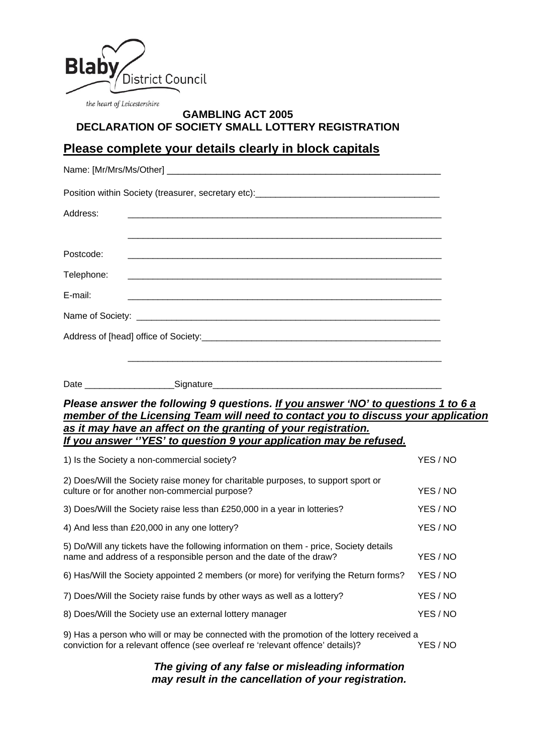

## **GAMBLING ACT 2005 DECLARATION OF SOCIETY SMALL LOTTERY REGISTRATION**

# **Please complete your details clearly in block capitals**

| Address:   |                                                                                                                    |
|------------|--------------------------------------------------------------------------------------------------------------------|
|            |                                                                                                                    |
| Postcode:  |                                                                                                                    |
| Telephone: | <u> 1989 - Johann John Stone, mensk politik (f. 1989)</u>                                                          |
| E-mail:    | <u> 1980 - Jan James James James James James James James James James James James James James James James James</u> |
|            |                                                                                                                    |
|            |                                                                                                                    |
|            |                                                                                                                    |
|            |                                                                                                                    |

### *Please answer the following 9 questions. If you answer 'NO' to questions 1 to 6 a member of the Licensing Team will need to contact you to discuss your application as it may have an affect on the granting of your registration. If you answer ''YES' to question 9 your application may be refused.*

| 1) Is the Society a non-commercial society?                                                                                                                                              | YES / NO |  |
|------------------------------------------------------------------------------------------------------------------------------------------------------------------------------------------|----------|--|
| 2) Does/Will the Society raise money for charitable purposes, to support sport or<br>culture or for another non-commercial purpose?                                                      | YES / NO |  |
| 3) Does/Will the Society raise less than £250,000 in a year in lotteries?                                                                                                                | YES / NO |  |
| 4) And less than £20,000 in any one lottery?                                                                                                                                             | YES / NO |  |
| 5) Do/Will any tickets have the following information on them - price, Society details<br>name and address of a responsible person and the date of the draw?                             | YES / NO |  |
| 6) Has/Will the Society appointed 2 members (or more) for verifying the Return forms?                                                                                                    | YES / NO |  |
| 7) Does/Will the Society raise funds by other ways as well as a lottery?                                                                                                                 | YES / NO |  |
| 8) Does/Will the Society use an external lottery manager                                                                                                                                 | YES / NO |  |
| 9) Has a person who will or may be connected with the promotion of the lottery received a<br>conviction for a relevant offence (see overleaf re 'relevant offence' details)?<br>YES / NO |          |  |

### *The giving of any false or misleading information may result in the cancellation of your registration.*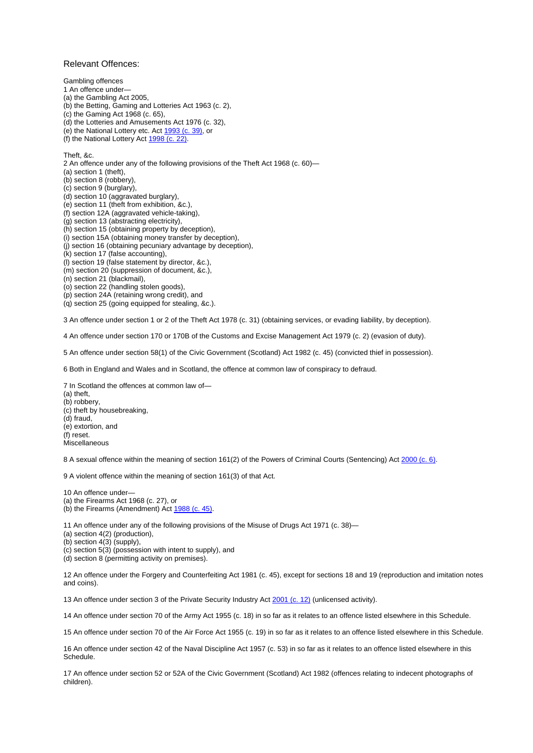#### Relevant Offences:

Gambling offences

1 An offence under— (a) the Gambling Act 2005, (b) the Betting, Gaming and Lotteries Act 1963 (c. 2), (c) the Gaming Act 1968 (c. 65), (d) the Lotteries and Amusements Act 1976 (c. 32), (e) the National Lottery etc. Act [1993 \(c. 39\)](http://www.opsi.gov.uk/acts/acts1993/ukpga_19930039_en_1), or (f) the National Lottery Act [1998 \(c. 22\).](http://www.opsi.gov.uk/acts/acts1998/ukpga_19980022_en_1) Theft, &c. 2 An offence under any of the following provisions of the Theft Act 1968 (c. 60)— (a) section 1 (theft), (b) section 8 (robbery), (c) section 9 (burglary), (d) section 10 (aggravated burglary), (e) section 11 (theft from exhibition, &c.),

(f) section 12A (aggravated vehicle-taking),

(g) section 13 (abstracting electricity),

(h) section 15 (obtaining property by deception),

(i) section 15A (obtaining money transfer by deception),

(j) section 16 (obtaining pecuniary advantage by deception),

(k) section 17 (false accounting),

(l) section 19 (false statement by director, &c.),

(m) section 20 (suppression of document, &c.),

(n) section 21 (blackmail),

(o) section 22 (handling stolen goods),

(p) section 24A (retaining wrong credit), and

(q) section 25 (going equipped for stealing, &c.).

3 An offence under section 1 or 2 of the Theft Act 1978 (c. 31) (obtaining services, or evading liability, by deception).

4 An offence under section 170 or 170B of the Customs and Excise Management Act 1979 (c. 2) (evasion of duty).

5 An offence under section 58(1) of the Civic Government (Scotland) Act 1982 (c. 45) (convicted thief in possession).

6 Both in England and Wales and in Scotland, the offence at common law of conspiracy to defraud.

7 In Scotland the offences at common law of— (a) theft, (b) robbery, (c) theft by housebreaking, (d) fraud, (e) extortion, and (f) reset. **Miscellaneous** 

8 A sexual offence within the meaning of section 161(2) of the Powers of Criminal Courts (Sentencing) Act [2000 \(c. 6\).](http://www.opsi.gov.uk/acts/acts2000/ukpga_20000006_en_1)

9 A violent offence within the meaning of section 161(3) of that Act.

10 An offence under— (a) the Firearms Act 1968 (c. 27), or (b) the Firearms (Amendment) Act [1988 \(c. 45\)](http://www.opsi.gov.uk/acts/acts1988/ukpga_19880045_en_1).

11 An offence under any of the following provisions of the Misuse of Drugs Act 1971 (c. 38)—

(a) section 4(2) (production),

(b) section 4(3) (supply),

(c) section 5(3) (possession with intent to supply), and

(d) section 8 (permitting activity on premises).

12 An offence under the Forgery and Counterfeiting Act 1981 (c. 45), except for sections 18 and 19 (reproduction and imitation notes and coins).

13 An offence under section 3 of the Private Security Industry Act [2001 \(c. 12\)](http://www.opsi.gov.uk/acts/acts2001/ukpga_20010012_en_1) (unlicensed activity).

14 An offence under section 70 of the Army Act 1955 (c. 18) in so far as it relates to an offence listed elsewhere in this Schedule.

15 An offence under section 70 of the Air Force Act 1955 (c. 19) in so far as it relates to an offence listed elsewhere in this Schedule.

16 An offence under section 42 of the Naval Discipline Act 1957 (c. 53) in so far as it relates to an offence listed elsewhere in this Schedule.

17 An offence under section 52 or 52A of the Civic Government (Scotland) Act 1982 (offences relating to indecent photographs of children).